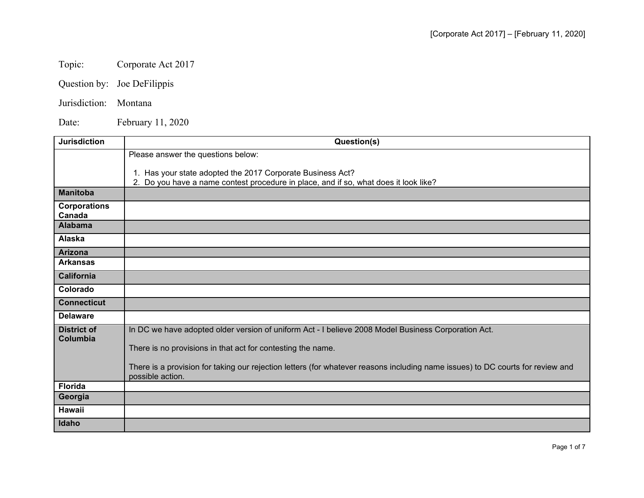## Topic: Corporate Act 2017

- Question by: Joe DeFilippis
- Jurisdiction: Montana

Date: February 11, 2020

| <b>Jurisdiction</b> | Question(s)                                                                                                                    |
|---------------------|--------------------------------------------------------------------------------------------------------------------------------|
|                     | Please answer the questions below:                                                                                             |
|                     | 1. Has your state adopted the 2017 Corporate Business Act?                                                                     |
|                     | 2. Do you have a name contest procedure in place, and if so, what does it look like?                                           |
| <b>Manitoba</b>     |                                                                                                                                |
| <b>Corporations</b> |                                                                                                                                |
| Canada              |                                                                                                                                |
| <b>Alabama</b>      |                                                                                                                                |
| Alaska              |                                                                                                                                |
| <b>Arizona</b>      |                                                                                                                                |
| <b>Arkansas</b>     |                                                                                                                                |
| <b>California</b>   |                                                                                                                                |
| Colorado            |                                                                                                                                |
| <b>Connecticut</b>  |                                                                                                                                |
| <b>Delaware</b>     |                                                                                                                                |
| <b>District of</b>  | In DC we have adopted older version of uniform Act - I believe 2008 Model Business Corporation Act.                            |
| Columbia            |                                                                                                                                |
|                     | There is no provisions in that act for contesting the name.                                                                    |
|                     | There is a provision for taking our rejection letters (for whatever reasons including name issues) to DC courts for review and |
|                     | possible action.                                                                                                               |
| <b>Florida</b>      |                                                                                                                                |
| Georgia             |                                                                                                                                |
| <b>Hawaii</b>       |                                                                                                                                |
| Idaho               |                                                                                                                                |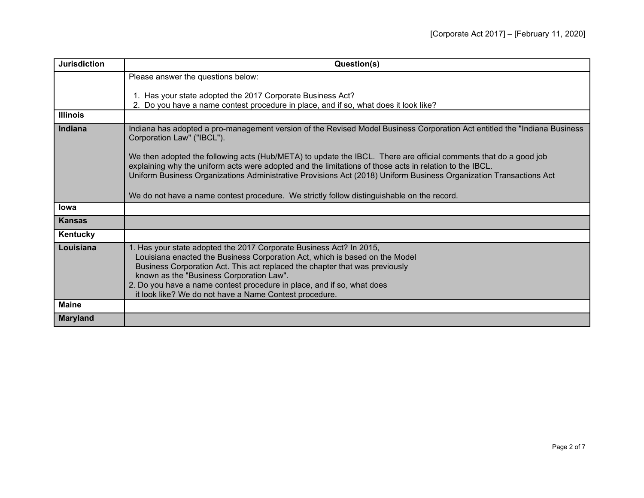| <b>Jurisdiction</b> | Question(s)                                                                                                                                                                                                                                                                                                                                                                                                       |
|---------------------|-------------------------------------------------------------------------------------------------------------------------------------------------------------------------------------------------------------------------------------------------------------------------------------------------------------------------------------------------------------------------------------------------------------------|
|                     | Please answer the questions below:                                                                                                                                                                                                                                                                                                                                                                                |
|                     | 1. Has your state adopted the 2017 Corporate Business Act?<br>2. Do you have a name contest procedure in place, and if so, what does it look like?                                                                                                                                                                                                                                                                |
| <b>Illinois</b>     |                                                                                                                                                                                                                                                                                                                                                                                                                   |
| Indiana             | Indiana has adopted a pro-management version of the Revised Model Business Corporation Act entitled the "Indiana Business<br>Corporation Law" ("IBCL").<br>We then adopted the following acts (Hub/META) to update the IBCL. There are official comments that do a good job                                                                                                                                       |
|                     | explaining why the uniform acts were adopted and the limitations of those acts in relation to the IBCL.<br>Uniform Business Organizations Administrative Provisions Act (2018) Uniform Business Organization Transactions Act                                                                                                                                                                                     |
|                     | We do not have a name contest procedure. We strictly follow distinguishable on the record.                                                                                                                                                                                                                                                                                                                        |
| <b>lowa</b>         |                                                                                                                                                                                                                                                                                                                                                                                                                   |
| <b>Kansas</b>       |                                                                                                                                                                                                                                                                                                                                                                                                                   |
| Kentucky            |                                                                                                                                                                                                                                                                                                                                                                                                                   |
| Louisiana           | 1. Has your state adopted the 2017 Corporate Business Act? In 2015,<br>Louisiana enacted the Business Corporation Act, which is based on the Model<br>Business Corporation Act. This act replaced the chapter that was previously<br>known as the "Business Corporation Law".<br>2. Do you have a name contest procedure in place, and if so, what does<br>it look like? We do not have a Name Contest procedure. |
| <b>Maine</b>        |                                                                                                                                                                                                                                                                                                                                                                                                                   |
| <b>Maryland</b>     |                                                                                                                                                                                                                                                                                                                                                                                                                   |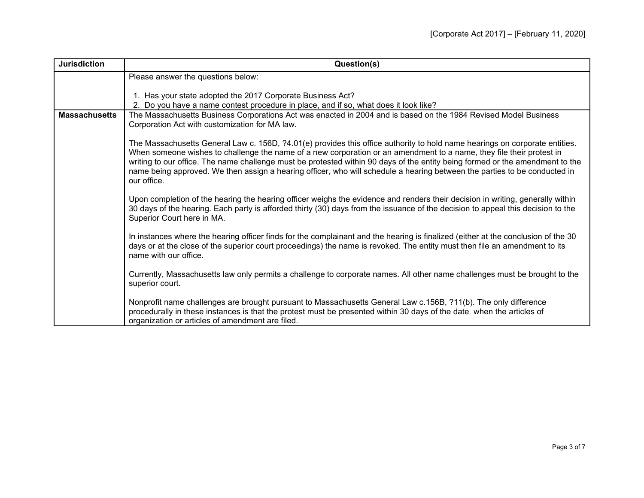| <b>Jurisdiction</b>  | Question(s)                                                                                                                                                                                                                                                                                                                                                                                                                                                                                                                      |
|----------------------|----------------------------------------------------------------------------------------------------------------------------------------------------------------------------------------------------------------------------------------------------------------------------------------------------------------------------------------------------------------------------------------------------------------------------------------------------------------------------------------------------------------------------------|
|                      | Please answer the questions below:                                                                                                                                                                                                                                                                                                                                                                                                                                                                                               |
|                      | 1. Has your state adopted the 2017 Corporate Business Act?<br>2. Do you have a name contest procedure in place, and if so, what does it look like?                                                                                                                                                                                                                                                                                                                                                                               |
| <b>Massachusetts</b> | The Massachusetts Business Corporations Act was enacted in 2004 and is based on the 1984 Revised Model Business<br>Corporation Act with customization for MA law.                                                                                                                                                                                                                                                                                                                                                                |
|                      | The Massachusetts General Law c. 156D, ?4.01(e) provides this office authority to hold name hearings on corporate entities.<br>When someone wishes to challenge the name of a new corporation or an amendment to a name, they file their protest in<br>writing to our office. The name challenge must be protested within 90 days of the entity being formed or the amendment to the<br>name being approved. We then assign a hearing officer, who will schedule a hearing between the parties to be conducted in<br>our office. |
|                      | Upon completion of the hearing the hearing officer weighs the evidence and renders their decision in writing, generally within<br>30 days of the hearing. Each party is afforded thirty (30) days from the issuance of the decision to appeal this decision to the<br>Superior Court here in MA.                                                                                                                                                                                                                                 |
|                      | In instances where the hearing officer finds for the complainant and the hearing is finalized (either at the conclusion of the 30<br>days or at the close of the superior court proceedings) the name is revoked. The entity must then file an amendment to its<br>name with our office.                                                                                                                                                                                                                                         |
|                      | Currently, Massachusetts law only permits a challenge to corporate names. All other name challenges must be brought to the<br>superior court.                                                                                                                                                                                                                                                                                                                                                                                    |
|                      | Nonprofit name challenges are brought pursuant to Massachusetts General Law c.156B, ?11(b). The only difference<br>procedurally in these instances is that the protest must be presented within 30 days of the date when the articles of<br>organization or articles of amendment are filed.                                                                                                                                                                                                                                     |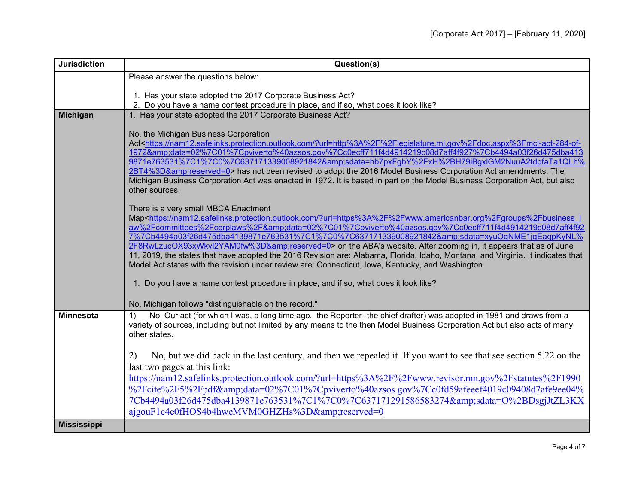| <b>Jurisdiction</b> | Question(s)                                                                                                                                                                                                                                                                                                                                                                                                                                                                                                                                                                                                                                                                                                                                               |
|---------------------|-----------------------------------------------------------------------------------------------------------------------------------------------------------------------------------------------------------------------------------------------------------------------------------------------------------------------------------------------------------------------------------------------------------------------------------------------------------------------------------------------------------------------------------------------------------------------------------------------------------------------------------------------------------------------------------------------------------------------------------------------------------|
|                     | Please answer the questions below:                                                                                                                                                                                                                                                                                                                                                                                                                                                                                                                                                                                                                                                                                                                        |
|                     | 1. Has your state adopted the 2017 Corporate Business Act?                                                                                                                                                                                                                                                                                                                                                                                                                                                                                                                                                                                                                                                                                                |
|                     | 2. Do you have a name contest procedure in place, and if so, what does it look like?                                                                                                                                                                                                                                                                                                                                                                                                                                                                                                                                                                                                                                                                      |
| <b>Michigan</b>     | 1. Has your state adopted the 2017 Corporate Business Act?                                                                                                                                                                                                                                                                                                                                                                                                                                                                                                                                                                                                                                                                                                |
|                     | No, the Michigan Business Corporation<br>Act <https: ?url="http%3A%2F%2Flegislature.mi.gov%2Fdoc.aspx%3Fmcl-act-284-of-&lt;br" nam12.safelinks.protection.outlook.com="">1972&amp;data=02%7C01%7Cpviverto%40azsos.gov%7Cc0ecff711f4d4914219c08d7aff4f927%7Cb4494a03f26d475dba413<br/>9871e763531%7C1%7C0%7C637171339008921842&amp;sdata=hb7pxFgbY%2FxH%2BH79iBgxlGM2NuuA2tdpfaTa1QLh%<br/>2BT4%3D&amp;reserved=0&gt; has not been revised to adopt the 2016 Model Business Corporation Act amendments. The<br/>Michigan Business Corporation Act was enacted in 1972. It is based in part on the Model Business Corporation Act, but also<br/>other sources.</https:>                                                                                     |
|                     | There is a very small MBCA Enactment<br>Map <https: ?url="https%3A%2F%2Fwww.americanbar.org%2Fgroups%2Fbusiness" i<br="" nam12.safelinks.protection.outlook.com="">aw%2Fcommittees%2Fcorplaws%2F&amp;data=02%7C01%7Cpviverto%40azsos.gov%7Cc0ecff711f4d4914219c08d7aff4f92<br/>7%7Cb4494a03f26d475dba4139871e763531%7C1%7C0%7C637171339008921842&amp;sdata=xyuOgNME1jgEagpKyNL%<br/>2F8RwLzucOX93xWkvl2YAM0fw%3D&amp;reserved=0&gt; on the ABA's website. After zooming in, it appears that as of June<br/>11, 2019, the states that have adopted the 2016 Revision are: Alabama, Florida, Idaho, Montana, and Virginia. It indicates that<br/>Model Act states with the revision under review are: Connecticut, Iowa, Kentucky, and Washington.</https:> |
|                     | 1. Do you have a name contest procedure in place, and if so, what does it look like?                                                                                                                                                                                                                                                                                                                                                                                                                                                                                                                                                                                                                                                                      |
|                     | No, Michigan follows "distinguishable on the record."                                                                                                                                                                                                                                                                                                                                                                                                                                                                                                                                                                                                                                                                                                     |
| <b>Minnesota</b>    | No. Our act (for which I was, a long time ago, the Reporter- the chief drafter) was adopted in 1981 and draws from a<br>1)<br>variety of sources, including but not limited by any means to the then Model Business Corporation Act but also acts of many<br>other states.                                                                                                                                                                                                                                                                                                                                                                                                                                                                                |
|                     | No, but we did back in the last century, and then we repealed it. If you want to see that see section 5.22 on the<br>2)                                                                                                                                                                                                                                                                                                                                                                                                                                                                                                                                                                                                                                   |
|                     | last two pages at this link:<br>https://nam12.safelinks.protection.outlook.com/?url=https%3A%2F%2Fwww.revisor.mn.gov%2Fstatutes%2F1990                                                                                                                                                                                                                                                                                                                                                                                                                                                                                                                                                                                                                    |
|                     | %2Fcite%2F5%2Fpdf&data=02%7C01%7Cpviverto%40azsos.gov%7Cc0fd59afeeef4019c09408d7afe9ee04%                                                                                                                                                                                                                                                                                                                                                                                                                                                                                                                                                                                                                                                                 |
|                     | 7Cb4494a03f26d475dba4139871e763531%7C1%7C0%7C637171291586583274&sdata=O%2BDsgjJtZL3KX                                                                                                                                                                                                                                                                                                                                                                                                                                                                                                                                                                                                                                                                     |
|                     | ajgouF1c4e0fHOS4b4hweMVM0GHZHs%3D&reserved=0                                                                                                                                                                                                                                                                                                                                                                                                                                                                                                                                                                                                                                                                                                              |
| <b>Mississippi</b>  |                                                                                                                                                                                                                                                                                                                                                                                                                                                                                                                                                                                                                                                                                                                                                           |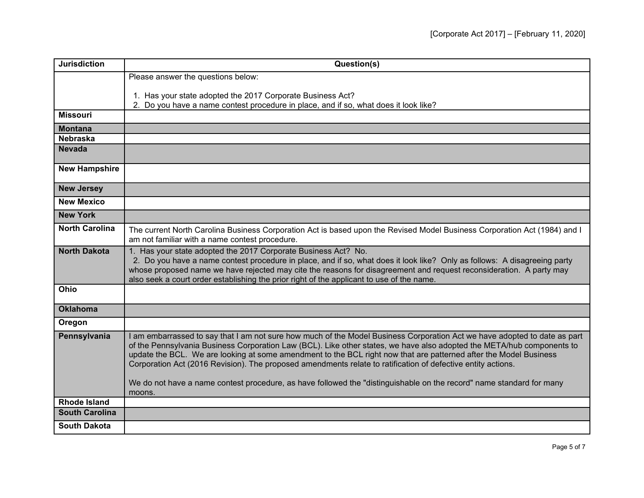| <b>Jurisdiction</b>   | Question(s)                                                                                                                                                                                                                                                                                                                                                                                                                                                                              |
|-----------------------|------------------------------------------------------------------------------------------------------------------------------------------------------------------------------------------------------------------------------------------------------------------------------------------------------------------------------------------------------------------------------------------------------------------------------------------------------------------------------------------|
|                       | Please answer the questions below:                                                                                                                                                                                                                                                                                                                                                                                                                                                       |
|                       | 1. Has your state adopted the 2017 Corporate Business Act?                                                                                                                                                                                                                                                                                                                                                                                                                               |
|                       | 2. Do you have a name contest procedure in place, and if so, what does it look like?                                                                                                                                                                                                                                                                                                                                                                                                     |
| <b>Missouri</b>       |                                                                                                                                                                                                                                                                                                                                                                                                                                                                                          |
| <b>Montana</b>        |                                                                                                                                                                                                                                                                                                                                                                                                                                                                                          |
| <b>Nebraska</b>       |                                                                                                                                                                                                                                                                                                                                                                                                                                                                                          |
| <b>Nevada</b>         |                                                                                                                                                                                                                                                                                                                                                                                                                                                                                          |
| <b>New Hampshire</b>  |                                                                                                                                                                                                                                                                                                                                                                                                                                                                                          |
| <b>New Jersey</b>     |                                                                                                                                                                                                                                                                                                                                                                                                                                                                                          |
| <b>New Mexico</b>     |                                                                                                                                                                                                                                                                                                                                                                                                                                                                                          |
| <b>New York</b>       |                                                                                                                                                                                                                                                                                                                                                                                                                                                                                          |
| <b>North Carolina</b> | The current North Carolina Business Corporation Act is based upon the Revised Model Business Corporation Act (1984) and I<br>am not familiar with a name contest procedure.                                                                                                                                                                                                                                                                                                              |
| <b>North Dakota</b>   | 1. Has your state adopted the 2017 Corporate Business Act? No.<br>2. Do you have a name contest procedure in place, and if so, what does it look like? Only as follows: A disagreeing party<br>whose proposed name we have rejected may cite the reasons for disagreement and request reconsideration. A party may<br>also seek a court order establishing the prior right of the applicant to use of the name.                                                                          |
| Ohio                  |                                                                                                                                                                                                                                                                                                                                                                                                                                                                                          |
| <b>Oklahoma</b>       |                                                                                                                                                                                                                                                                                                                                                                                                                                                                                          |
| Oregon                |                                                                                                                                                                                                                                                                                                                                                                                                                                                                                          |
| Pennsylvania          | I am embarrassed to say that I am not sure how much of the Model Business Corporation Act we have adopted to date as part<br>of the Pennsylvania Business Corporation Law (BCL). Like other states, we have also adopted the META/hub components to<br>update the BCL. We are looking at some amendment to the BCL right now that are patterned after the Model Business<br>Corporation Act (2016 Revision). The proposed amendments relate to ratification of defective entity actions. |
|                       | We do not have a name contest procedure, as have followed the "distinguishable on the record" name standard for many<br>moons.                                                                                                                                                                                                                                                                                                                                                           |
| <b>Rhode Island</b>   |                                                                                                                                                                                                                                                                                                                                                                                                                                                                                          |
| <b>South Carolina</b> |                                                                                                                                                                                                                                                                                                                                                                                                                                                                                          |
| <b>South Dakota</b>   |                                                                                                                                                                                                                                                                                                                                                                                                                                                                                          |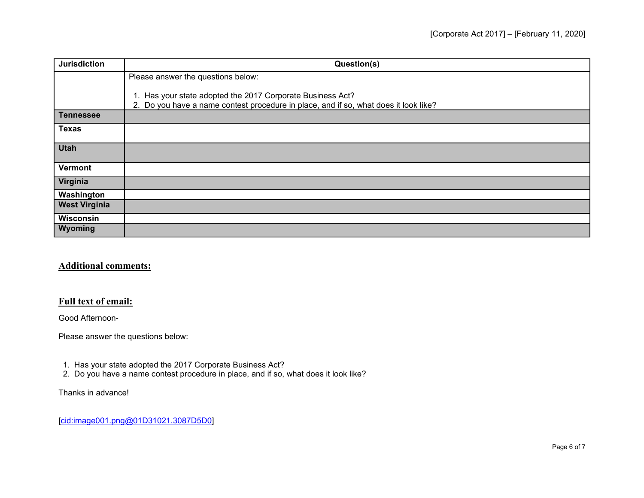| <b>Jurisdiction</b>  | Question(s)                                                                                                                                        |
|----------------------|----------------------------------------------------------------------------------------------------------------------------------------------------|
|                      | Please answer the questions below:                                                                                                                 |
|                      | 1. Has your state adopted the 2017 Corporate Business Act?<br>2. Do you have a name contest procedure in place, and if so, what does it look like? |
| <b>Tennessee</b>     |                                                                                                                                                    |
| <b>Texas</b>         |                                                                                                                                                    |
| <b>Utah</b>          |                                                                                                                                                    |
| Vermont              |                                                                                                                                                    |
| Virginia             |                                                                                                                                                    |
| Washington           |                                                                                                                                                    |
| <b>West Virginia</b> |                                                                                                                                                    |
| Wisconsin            |                                                                                                                                                    |
| Wyoming              |                                                                                                                                                    |

## **Additional comments:**

## **Full text of email:**

Good Afternoon-

Please answer the questions below:

- 1. Has your state adopted the 2017 Corporate Business Act?
- 2. Do you have a name contest procedure in place, and if so, what does it look like?

## Thanks in advance!

[\[cid:image001.png@01D31021.3087D5D0\]](cid:image001.png@01D31021.3087D5D0)